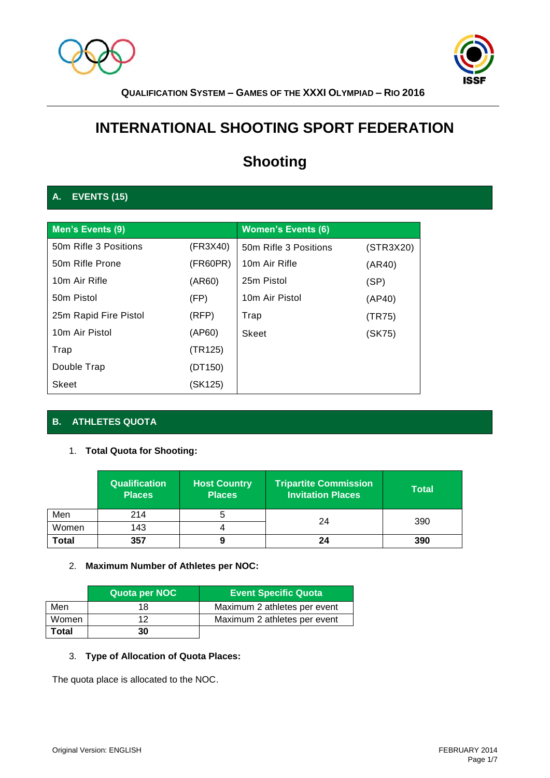



# **INTERNATIONAL SHOOTING SPORT FEDERATION**

# **Shooting**

# **A. EVENTS (15)**

| Men's Events (9)          |          | <b>Women's Events (6)</b> |           |
|---------------------------|----------|---------------------------|-----------|
| 50m Rifle 3 Positions     | (FR3X40) | 50m Rifle 3 Positions     | (STR3X20) |
| 50m Rifle Prone           | (FR60PR) | 10m Air Rifle             | (AR40)    |
| 10 <sub>m</sub> Air Rifle | (AR60)   | 25m Pistol                | (SP)      |
| 50 <sub>m</sub> Pistol    | (FP)     | 10m Air Pistol            | (AP40)    |
| 25m Rapid Fire Pistol     | (RFP)    | Trap                      | (TR75)    |
| 10m Air Pistol            | (AP60)   | Skeet                     | (SK75)    |
| Trap                      | (TR125)  |                           |           |
| Double Trap               | (DT150)  |                           |           |
| Skeet                     | (SK125)  |                           |           |

# **B. ATHLETES QUOTA**

### 1. **Total Quota for Shooting:**

|              | <b>Qualification</b><br><b>Places</b> | <b>Host Country</b><br><b>Places</b> | Tripartite Commission<br><b>Invitation Places</b> | Total |  |
|--------------|---------------------------------------|--------------------------------------|---------------------------------------------------|-------|--|
| Men          | 214                                   |                                      | 24                                                | 390   |  |
| Women        | 143                                   |                                      |                                                   |       |  |
| <b>Total</b> | 357                                   |                                      | 24                                                | 390   |  |

### 2. **Maximum Number of Athletes per NOC:**

|       | Quota per NOC | <b>Event Specific Quota</b>  |
|-------|---------------|------------------------------|
| Men   | 18            | Maximum 2 athletes per event |
| Women | 1つ            | Maximum 2 athletes per event |
| Total | 30            |                              |

# 3. **Type of Allocation of Quota Places:**

The quota place is allocated to the NOC.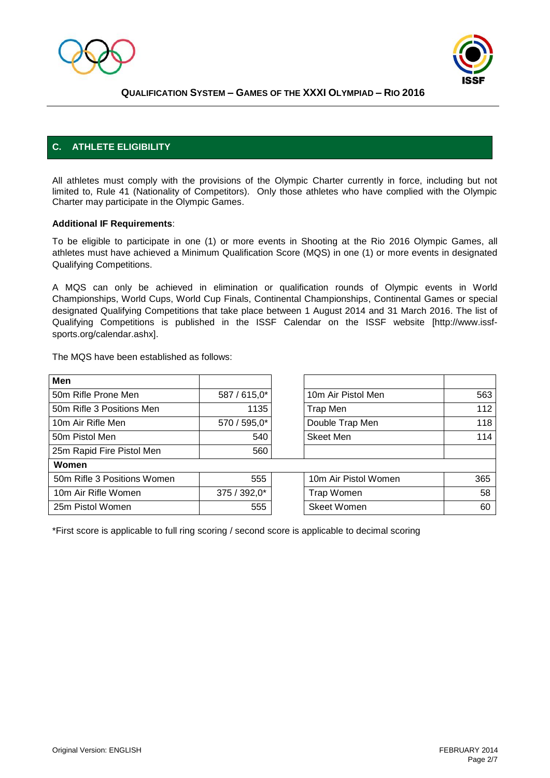



# **C. ATHLETE ELIGIBILITY**

All athletes must comply with the provisions of the Olympic Charter currently in force, including but not limited to, Rule 41 (Nationality of Competitors). Only those athletes who have complied with the Olympic Charter may participate in the Olympic Games.

### **Additional IF Requirements**:

To be eligible to participate in one (1) or more events in Shooting at the Rio 2016 Olympic Games, all athletes must have achieved a Minimum Qualification Score (MQS) in one (1) or more events in designated Qualifying Competitions.

A MQS can only be achieved in elimination or qualification rounds of Olympic events in World Championships, World Cups, World Cup Finals, Continental Championships, Continental Games or special designated Qualifying Competitions that take place between 1 August 2014 and 31 March 2016. The list of Qualifying Competitions is published in the ISSF Calendar on the ISSF website [http://www.issfsports.org/calendar.ashx].

The MQS have been established as follows:

| <b>Men</b>                  |              |                      |     |
|-----------------------------|--------------|----------------------|-----|
| 50m Rifle Prone Men         | 587 / 615,0* | 10m Air Pistol Men   | 563 |
| 50m Rifle 3 Positions Men   | 1135         | Trap Men             | 112 |
| 10m Air Rifle Men           | 570 / 595,0* | Double Trap Men      | 118 |
| 50m Pistol Men              | 540          | <b>Skeet Men</b>     | 114 |
| 25m Rapid Fire Pistol Men   | 560          |                      |     |
| Women                       |              |                      |     |
| 50m Rifle 3 Positions Women | 555          | 10m Air Pistol Women | 365 |
| 10m Air Rifle Women         | 375 / 392,0* | <b>Trap Women</b>    | 58  |
| 25m Pistol Women            | 555          | <b>Skeet Women</b>   | 60  |

\*First score is applicable to full ring scoring / second score is applicable to decimal scoring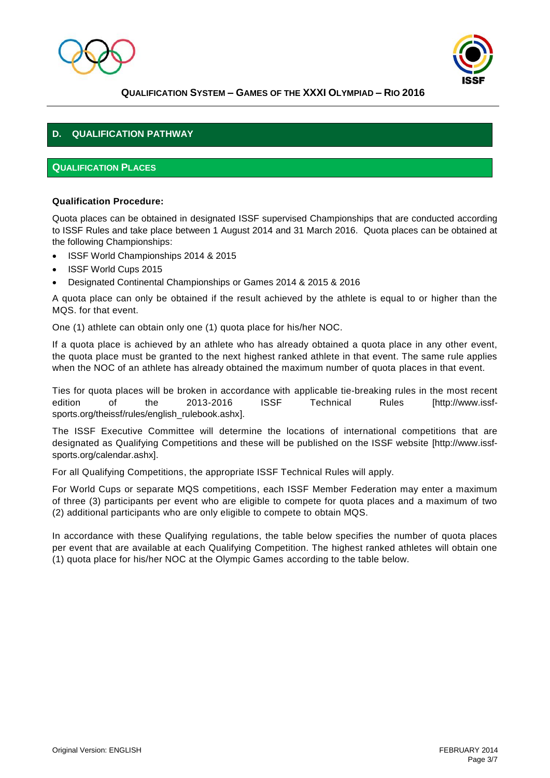



# **D. QUALIFICATION PATHWAY**

### **QUALIFICATION PLACES**

### **Qualification Procedure:**

Quota places can be obtained in designated ISSF supervised Championships that are conducted according to ISSF Rules and take place between 1 August 2014 and 31 March 2016. Quota places can be obtained at the following Championships:

- ISSF World Championships 2014 & 2015
- ISSF World Cups 2015
- Designated Continental Championships or Games 2014 & 2015 & 2016

A quota place can only be obtained if the result achieved by the athlete is equal to or higher than the MQS. for that event.

One (1) athlete can obtain only one (1) quota place for his/her NOC.

If a quota place is achieved by an athlete who has already obtained a quota place in any other event, the quota place must be granted to the next highest ranked athlete in that event. The same rule applies when the NOC of an athlete has already obtained the maximum number of quota places in that event.

Ties for quota places will be broken in accordance with applicable tie-breaking rules in the most recent edition of the 2013-2016 ISSF Technical Rules [http://www.issfsports.org/theissf/rules/english\_rulebook.ashx].

The ISSF Executive Committee will determine the locations of international competitions that are designated as Qualifying Competitions and these will be published on the ISSF website [http://www.issfsports.org/calendar.ashx].

For all Qualifying Competitions, the appropriate ISSF Technical Rules will apply.

For World Cups or separate MQS competitions, each ISSF Member Federation may enter a maximum of three (3) participants per event who are eligible to compete for quota places and a maximum of two (2) additional participants who are only eligible to compete to obtain MQS.

In accordance with these Qualifying regulations, the table below specifies the number of quota places per event that are available at each Qualifying Competition. The highest ranked athletes will obtain one (1) quota place for his/her NOC at the Olympic Games according to the table below.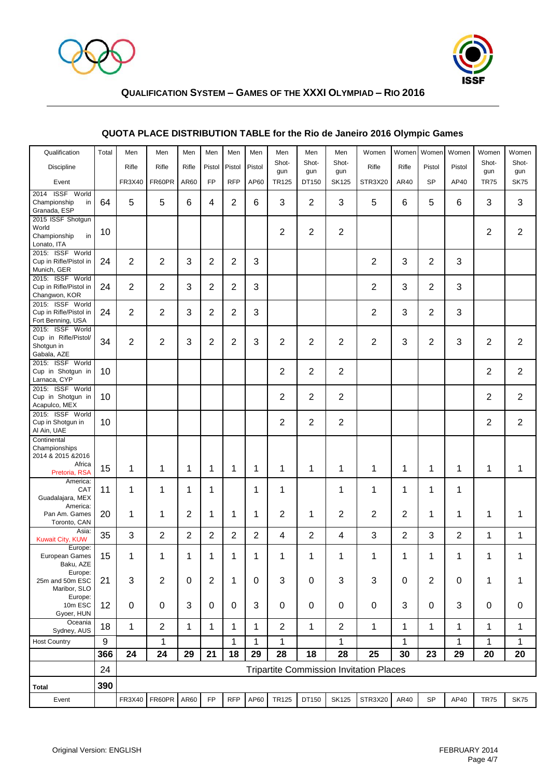



| Qualification                                                                 | Total | Men            | Men                                            | Men            | Men            | Men            | Men            | Men                 | Men            | Men                 | Women          | Women          | Women          | Women          | Women              | Women              |
|-------------------------------------------------------------------------------|-------|----------------|------------------------------------------------|----------------|----------------|----------------|----------------|---------------------|----------------|---------------------|----------------|----------------|----------------|----------------|--------------------|--------------------|
| <b>Discipline</b>                                                             |       | Rifle          | Rifle                                          | Rifle          | Pistol         | Pistol         | Pistol         | Shot-               | Shot-          | Shot-               | Rifle          | Rifle          | Pistol         | Pistol         | Shot-              | Shot-              |
| Event                                                                         |       | FR3X40         | FR60PR                                         | AR60           | <b>FP</b>      | <b>RFP</b>     | AP60           | gun<br><b>TR125</b> | gun<br>DT150   | gun<br><b>SK125</b> | STR3X20        | AR40           | <b>SP</b>      | AP40           | gun<br><b>TR75</b> | gun<br><b>SK75</b> |
| 2014 ISSF World<br>Championship<br>in<br>Granada, ESP                         | 64    | 5              | 5                                              | 6              | 4              | $\overline{2}$ | 6              | 3                   | $\overline{2}$ | 3                   | 5              | 6              | 5              | 6              | 3                  | 3                  |
| 2015 ISSF Shotgun<br>World<br>Championship<br>in<br>Lonato, ITA               | 10    |                |                                                |                |                |                |                | $\overline{2}$      | $\overline{2}$ | $\overline{2}$      |                |                |                |                | $\overline{2}$     | $\overline{2}$     |
| 2015: ISSF World<br>Cup in Rifle/Pistol in<br>Munich, GER                     | 24    | 2              | $\overline{2}$                                 | 3              | $\overline{2}$ | $\overline{2}$ | 3              |                     |                |                     | $\overline{2}$ | 3              | $\overline{2}$ | 3              |                    |                    |
| 2015: ISSF World<br>Cup in Rifle/Pistol in<br>Changwon, KOR                   | 24    | $\overline{2}$ | $\overline{2}$                                 | 3              | $\overline{c}$ | 2              | 3              |                     |                |                     | $\overline{2}$ | 3              | $\overline{2}$ | 3              |                    |                    |
| 2015: ISSF World<br>Cup in Rifle/Pistol in<br>Fort Benning, USA               | 24    | 2              | 2                                              | 3              | $\overline{2}$ | 2              | 3              |                     |                |                     | $\overline{2}$ | 3              | $\overline{2}$ | 3              |                    |                    |
| 2015: ISSF World<br>Cup in Rifle/Pistol/<br>Shotgun in<br>Gabala, AZE         | 34    | $\overline{2}$ | $\overline{2}$                                 | 3              | 2              | 2              | 3              | $\overline{2}$      | $\overline{2}$ | $\overline{2}$      | $\overline{2}$ | 3              | 2              | 3              | $\overline{2}$     | $\overline{2}$     |
| 2015: ISSF World<br>Cup in Shotgun in<br>Larnaca, CYP                         | 10    |                |                                                |                |                |                |                | $\overline{2}$      | $\overline{2}$ | $\overline{2}$      |                |                |                |                | $\overline{2}$     | $\overline{2}$     |
| 2015: ISSF World<br>Cup in Shotgun in<br>Acapulco, MEX                        | 10    |                |                                                |                |                |                |                | $\overline{2}$      | $\overline{2}$ | $\overline{2}$      |                |                |                |                | $\overline{2}$     | $\overline{2}$     |
| 2015: ISSF World<br>Cup in Shotgun in<br>Al Ain, UAE                          | 10    |                |                                                |                |                |                |                | $\overline{2}$      | $\overline{2}$ | $\overline{2}$      |                |                |                |                | $\overline{2}$     | 2                  |
| Continental<br>Championships<br>2014 & 2015 & 2016<br>Africa<br>Pretoria, RSA | 15    | 1              | 1                                              | 1              | 1              | 1              | 1              | 1                   | 1              | 1                   | $\mathbf 1$    | 1              | 1              | 1              | 1                  | 1                  |
| America:<br>CAT<br>Guadalajara, MEX                                           | 11    | 1              | 1                                              | 1              | 1              |                | 1              | 1                   |                | 1                   | 1              | 1              | 1              | 1              |                    |                    |
| America:<br>Pan Am. Games<br>Toronto, CAN                                     | 20    | 1              | 1                                              | $\overline{2}$ | 1              | 1              | 1              | $\overline{2}$      | 1              | 2                   | 2              | 2              | 1              | 1              | 1                  | 1                  |
| Asia:<br><b>Kuwait City, KUW</b>                                              | 35    | 3              | $\overline{2}$                                 | $\overline{2}$ | $\overline{2}$ | $\overline{2}$ | $\overline{2}$ | 4                   | $\overline{2}$ | 4                   | 3              | $\overline{2}$ | 3              | $\overline{2}$ | 1                  | $\mathbf{1}$       |
| Europe:<br>European Games<br>Baku, AZE                                        | 15    | 1              | 1                                              | 1              | 1              | 1              | 1              | 1                   | 1              | 1                   | 1              | 1              | 1              | 1              | 1                  | 1                  |
| Europe:<br>25m and 50m ESC<br>Maribor, SLO                                    | 21    | 3              | $\overline{2}$                                 | 0              | 2              | 1              | 0              | $\mathbf{3}$        | $\mathbf 0$    | 3                   | 3              | 0              | $\overline{2}$ | 0              | 1                  | 1                  |
| Europe:<br>10m ESC<br>Gyoer, HUN                                              | 12    | $\pmb{0}$      | $\mathbf 0$                                    | 3              | 0              | $\mathbf 0$    | $\sqrt{3}$     | $\mathbf 0$         | $\pmb{0}$      | 0                   | $\mathbf 0$    | 3              | $\mathbf 0$    | 3              | $\boldsymbol{0}$   | $\pmb{0}$          |
| Oceania<br>Sydney, AUS                                                        | 18    | 1              | $\overline{2}$                                 | 1              | 1              | 1              | 1              | $\overline{2}$      | 1              | $\overline{2}$      | $\mathbf{1}$   | 1              | 1              | 1              | 1                  | 1                  |
| <b>Host Country</b>                                                           | 9     |                | $\mathbf 1$                                    |                |                | $\mathbf 1$    | 1              | $\mathbf{1}$        |                | 1                   |                | $\mathbf{1}$   |                | $\mathbf{1}$   | 1                  | 1                  |
|                                                                               | 366   | 24             | 24                                             | 29             | 21             | 18             | 29             | 28                  | 18             | 28                  | 25             | 30             | 23             | 29             | 20                 | 20                 |
|                                                                               | 24    |                | <b>Tripartite Commission Invitation Places</b> |                |                |                |                |                     |                |                     |                |                |                |                |                    |                    |
| Total                                                                         | 390   |                |                                                |                |                |                |                |                     |                |                     |                |                |                |                |                    |                    |
| Event                                                                         |       |                | FR3X40 FR60PR AR60                             |                | <b>FP</b>      | <b>RFP</b>     | AP60           | TR125               | DT150          | <b>SK125</b>        | STR3X20        | AR40           | <b>SP</b>      | AP40           | <b>TR75</b>        | <b>SK75</b>        |

# **QUOTA PLACE DISTRIBUTION TABLE for the Rio de Janeiro 2016 Olympic Games**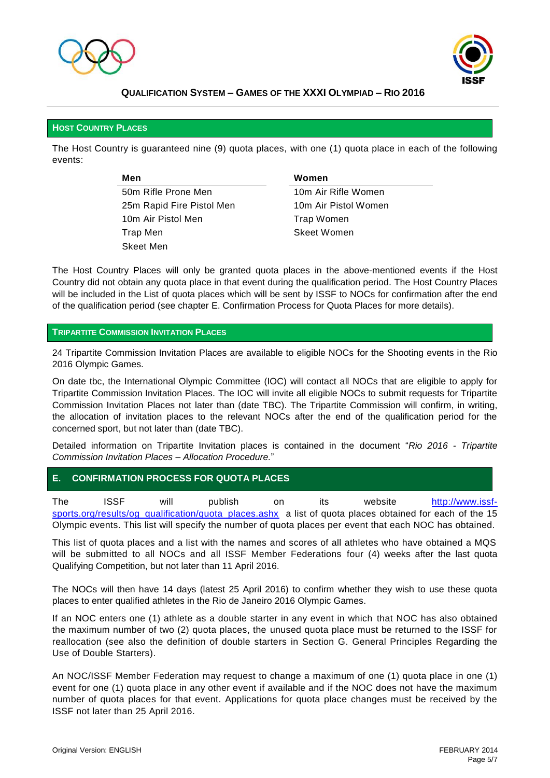



#### **HOST COUNTRY PLACES**

The Host Country is guaranteed nine (9) quota places, with one (1) quota place in each of the following events:

> **Men Women** 50m Rifle Prone Men 10m Air Rifle Women 25m Rapid Fire Pistol Men 10m Air Pistol Women 10m Air Pistol Men Trap Women Trap Men Skeet Women Skeet Men

The Host Country Places will only be granted quota places in the above-mentioned events if the Host Country did not obtain any quota place in that event during the qualification period. The Host Country Places will be included in the List of quota places which will be sent by ISSF to NOCs for confirmation after the end of the qualification period (see chapter E. Confirmation Process for Quota Places for more details).

#### **TRIPARTITE COMMISSION INVITATION PLACES**

24 Tripartite Commission Invitation Places are available to eligible NOCs for the Shooting events in the Rio 2016 Olympic Games.

On date tbc, the International Olympic Committee (IOC) will contact all NOCs that are eligible to apply for Tripartite Commission Invitation Places. The IOC will invite all eligible NOCs to submit requests for Tripartite Commission Invitation Places not later than (date TBC). The Tripartite Commission will confirm, in writing, the allocation of invitation places to the relevant NOCs after the end of the qualification period for the concerned sport, but not later than (date TBC).

Detailed information on Tripartite Invitation places is contained in the document "*Rio 2016 - Tripartite Commission Invitation Places – Allocation Procedure.*"

### **E. CONFIRMATION PROCESS FOR QUOTA PLACES**

The ISSF will publish on its website [http://www.issf](http://www.issf-sports.org/results/og_qualification/quota_places.ashx)[sports.org/results/og\\_qualification/quota\\_places.ashx](http://www.issf-sports.org/results/og_qualification/quota_places.ashx) a list of quota places obtained for each of the 15 Olympic events. This list will specify the number of quota places per event that each NOC has obtained.

This list of quota places and a list with the names and scores of all athletes who have obtained a MQS will be submitted to all NOCs and all ISSF Member Federations four (4) weeks after the last quota Qualifying Competition, but not later than 11 April 2016.

The NOCs will then have 14 days (latest 25 April 2016) to confirm whether they wish to use these quota places to enter qualified athletes in the Rio de Janeiro 2016 Olympic Games.

If an NOC enters one (1) athlete as a double starter in any event in which that NOC has also obtained the maximum number of two (2) quota places, the unused quota place must be returned to the ISSF for reallocation (see also the definition of double starters in Section G. General Principles Regarding the Use of Double Starters).

An NOC/ISSF Member Federation may request to change a maximum of one (1) quota place in one (1) event for one (1) quota place in any other event if available and if the NOC does not have the maximum number of quota places for that event. Applications for quota place changes must be received by the ISSF not later than 25 April 2016.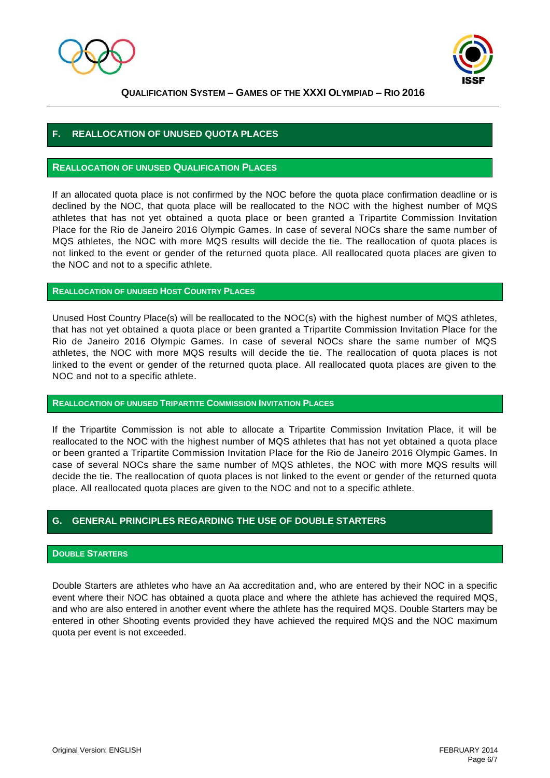



# **F. REALLOCATION OF UNUSED QUOTA PLACES**

### **REALLOCATION OF UNUSED QUALIFICATION PLACES**

If an allocated quota place is not confirmed by the NOC before the quota place confirmation deadline or is declined by the NOC, that quota place will be reallocated to the NOC with the highest number of MQS athletes that has not yet obtained a quota place or been granted a Tripartite Commission Invitation Place for the Rio de Janeiro 2016 Olympic Games. In case of several NOCs share the same number of MQS athletes, the NOC with more MQS results will decide the tie. The reallocation of quota places is not linked to the event or gender of the returned quota place. All reallocated quota places are given to the NOC and not to a specific athlete.

### **REALLOCATION OF UNUSED HOST COUNTRY PLACES**

Unused Host Country Place(s) will be reallocated to the NOC(s) with the highest number of MQS athletes, that has not yet obtained a quota place or been granted a Tripartite Commission Invitation Place for the Rio de Janeiro 2016 Olympic Games. In case of several NOCs share the same number of MQS athletes, the NOC with more MQS results will decide the tie. The reallocation of quota places is not linked to the event or gender of the returned quota place. All reallocated quota places are given to the NOC and not to a specific athlete.

#### **REALLOCATION OF UNUSED TRIPARTITE COMMISSION INVITATION PLACES**

If the Tripartite Commission is not able to allocate a Tripartite Commission Invitation Place, it will be reallocated to the NOC with the highest number of MQS athletes that has not yet obtained a quota place or been granted a Tripartite Commission Invitation Place for the Rio de Janeiro 2016 Olympic Games. In case of several NOCs share the same number of MQS athletes, the NOC with more MQS results will decide the tie. The reallocation of quota places is not linked to the event or gender of the returned quota place. All reallocated quota places are given to the NOC and not to a specific athlete.

## **G. GENERAL PRINCIPLES REGARDING THE USE OF DOUBLE STARTERS**

### **DOUBLE STARTERS**

Double Starters are athletes who have an Aa accreditation and, who are entered by their NOC in a specific event where their NOC has obtained a quota place and where the athlete has achieved the required MQS, and who are also entered in another event where the athlete has the required MQS. Double Starters may be entered in other Shooting events provided they have achieved the required MQS and the NOC maximum quota per event is not exceeded.